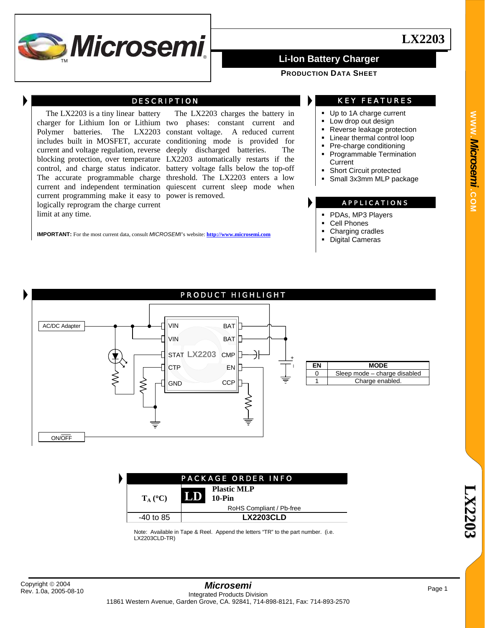

### **PRODUCTION DATA SHEET**

## DESCRIPTION

The LX2203 is a tiny linear battery current programming make it easy to power is removed. logically reprogram the charge current limit at any time.

charger for Lithium Ion or Lithium two phases: constant current and Polymer batteries. The LX2203 constant voltage. A reduced current includes built in MOSFET, accurate conditioning mode is provided for current and voltage regulation, reverse deeply discharged batteries. The blocking protection, over temperature LX2203 automatically restarts if the control, and charge status indicator. battery voltage falls below the top-off The accurate programmable charge threshold. The LX2203 enters a low current and independent termination quiescent current sleep mode when The LX2203 charges the battery in

**IMPORTANT:** For the most current data, consult *MICROSEMI*'s website: **http://www.microsemi.com**

## KEY FEATURES

- Up to 1A charge current
- **Low drop out design**
- Reverse leakage protection
- **Linear thermal control loop**
- Pre-charge conditioning **Programmable Termination**
- **Current**
- Short Circuit protected
- Small 3x3mm MLP package

### APPLICATIONS

- PDAs, MP3 Players
- Cell Phones
- Charging cradles
- Digital Cameras



| <b>PACKAGE ORDER INFO</b> |                                           |  |  |  |
|---------------------------|-------------------------------------------|--|--|--|
| $T_A$ (°C)                | <b>Plastic MLP</b><br><b>LD</b><br>10-Pin |  |  |  |
|                           | RoHS Compliant / Pb-free                  |  |  |  |
| $-40$ to 85               | <b>LX2203CLD</b>                          |  |  |  |

Note: Available in Tape & Reel. Append the letters "TR" to the part number. (i.e. LX2203CLD-TR)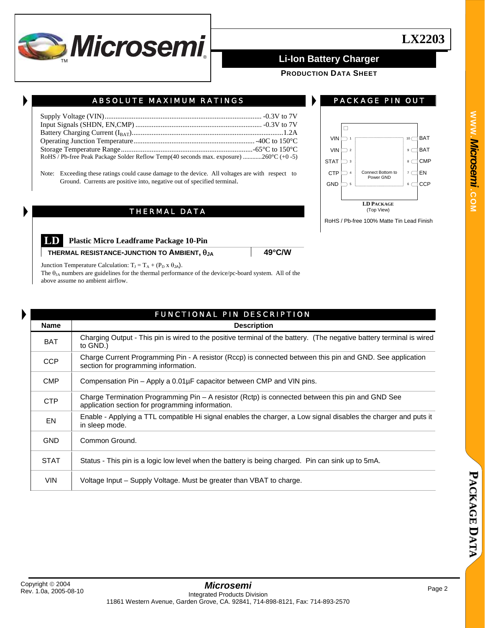

**PRODUCTION DATA SHEET**

| RoHS / Pb-free Peak Package Solder Reflow Temp(40 seconds max. exposure) 260 $^{\circ}$ C (+0 -5) |  |
|---------------------------------------------------------------------------------------------------|--|

ABSOLUTE MAXIMUM RATINGS

Note: Exceeding these ratings could cause damage to the device. All voltages are with respect to Ground. Currents are positive into, negative out of specified terminal.

## THERMAL DATA



PACKAGE PIN OUT

RoHS / Pb-free 100% Matte Tin Lead Finish

**LD Plastic Micro Leadframe Package 10-Pin** 

**THERMAL RESISTANCE-JUNCTION TO AMBIENT,**  $\theta_{JA}$  **49°C/W** 

Junction Temperature Calculation:  $T_J = T_A + (P_D \times \theta_{JA})$ .

The θ<sub>JA</sub> numbers are guidelines for the thermal performance of the device/pc-board system. All of the above assume no ambient airflow.

|             | <b>FUNCTIONAL PIN DESCRIPTION</b>                                                                                                                    |  |  |  |  |  |  |
|-------------|------------------------------------------------------------------------------------------------------------------------------------------------------|--|--|--|--|--|--|
| <b>Name</b> | <b>Description</b>                                                                                                                                   |  |  |  |  |  |  |
| <b>BAT</b>  | Charging Output - This pin is wired to the positive terminal of the battery. (The negative battery terminal is wired<br>to GND.)                     |  |  |  |  |  |  |
| <b>CCP</b>  | Charge Current Programming Pin - A resistor (Rccp) is connected between this pin and GND. See application<br>section for programming information.    |  |  |  |  |  |  |
| <b>CMP</b>  | Compensation Pin – Apply a $0.01\mu$ F capacitor between CMP and VIN pins.                                                                           |  |  |  |  |  |  |
| <b>CTP</b>  | Charge Termination Programming Pin - A resistor (Rctp) is connected between this pin and GND See<br>application section for programming information. |  |  |  |  |  |  |
| EN          | Enable - Applying a TTL compatible Hi signal enables the charger, a Low signal disables the charger and puts it<br>in sleep mode.                    |  |  |  |  |  |  |
| <b>GND</b>  | Common Ground.                                                                                                                                       |  |  |  |  |  |  |
| <b>STAT</b> | Status - This pin is a logic low level when the battery is being charged. Pin can sink up to 5mA.                                                    |  |  |  |  |  |  |
| <b>VIN</b>  | Voltage Input - Supply Voltage. Must be greater than VBAT to charge.                                                                                 |  |  |  |  |  |  |

### **P A C K A G E D A T A**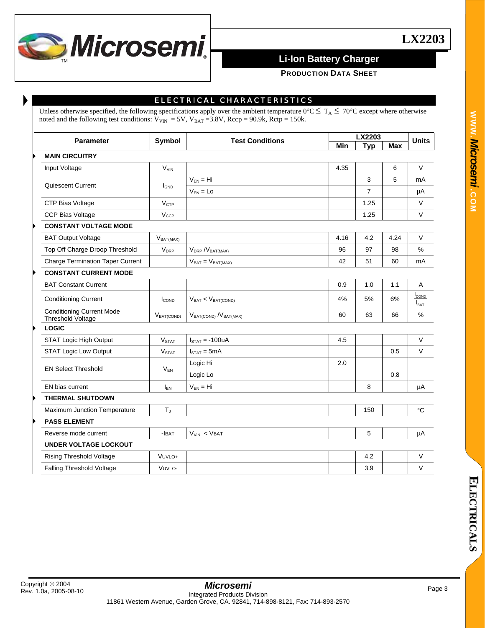

**PRODUCTION DATA SHEET**

## ELECTRICAL CHARACTERISTICS

Unless otherwise specified, the following specifications apply over the ambient temperature  $0^{\circ}C \leq T_A \leq 70^{\circ}C$  except where otherwise noted and the following test conditions:  $V_{VIN} = 5V$ ,  $V_{BAT} = 3.8V$ , Rccp = 90.9k, Rctp = 150k.

| <b>Parameter</b>                                      | Symbol            | <b>Test Conditions</b>           | LX2203 |            |            | <b>Units</b>             |
|-------------------------------------------------------|-------------------|----------------------------------|--------|------------|------------|--------------------------|
|                                                       |                   |                                  | Min    | <b>Typ</b> | <b>Max</b> |                          |
| <b>MAIN CIRCUITRY</b>                                 |                   |                                  |        |            |            |                          |
| Input Voltage                                         | $V_{VIN}$         |                                  | 4.35   |            | 6          | $\vee$                   |
| Quiescent Current                                     |                   | $V_{FN} = Hi$                    |        | 3          | 5          | mA                       |
|                                                       | $I_{GND}$         | $V_{FN} = Lo$                    |        | 7          |            | μA                       |
| CTP Bias Voltage                                      | V <sub>CTP</sub>  |                                  |        | 1.25       |            | $\vee$                   |
| <b>CCP Bias Voltage</b>                               | $V_{CCP}$         |                                  |        | 1.25       |            | $\vee$                   |
| <b>CONSTANT VOLTAGE MODE</b>                          |                   |                                  |        |            |            |                          |
| <b>BAT Output Voltage</b>                             | $V_{BAT(MAX)}$    |                                  | 4.16   | 4.2        | 4.24       | V                        |
| Top Off Charge Droop Threshold                        | $V_{DRP}$         | $V_{DRP} N_{BAT(MAX)}$           | 96     | 97         | 98         | %                        |
| <b>Charge Termination Taper Current</b>               |                   | $V_{BAT} = V_{BAT(MAX)}$         | 42     | 51         | 60         | mA                       |
| <b>CONSTANT CURRENT MODE</b>                          |                   |                                  |        |            |            |                          |
| <b>BAT Constant Current</b>                           |                   |                                  | 0.9    | 1.0        | 1.1        | $\mathsf{A}$             |
| <b>Conditioning Current</b>                           | $I_{\text{COND}}$ | $V_{BAT}$ < $V_{BAT(COND)}$      | 4%     | 5%         | 6%         | COND<br>$I_{\text{BAT}}$ |
| <b>Conditioning Current Mode</b><br>Threshold Voltage | $V_{BAT(COND)}$   | $V_{BAT(COND)}$ / $V_{BAT(MAX)}$ | 60     | 63         | 66         | %                        |
| <b>LOGIC</b>                                          |                   |                                  |        |            |            |                          |
| STAT Logic High Output                                | V <sub>STAT</sub> | $ISTAT = -100uA$                 | 4.5    |            |            | $\vee$                   |
| <b>STAT Logic Low Output</b>                          | V <sub>STAT</sub> | $ISTAT = 5mA$                    |        |            | 0.5        | $\vee$                   |
|                                                       |                   | Logic Hi                         | 2.0    |            |            |                          |
| <b>EN Select Threshold</b>                            | $V_{FN}$          | Logic Lo                         |        |            | 0.8        |                          |
| EN bias current                                       | $I_{FN}$          | $V_{FN} = Hi$                    |        | 8          |            | μA                       |
| <b>THERMAL SHUTDOWN</b>                               |                   |                                  |        |            |            |                          |
| Maximum Junction Temperature                          | $T_{J}$           |                                  |        | 150        |            | °C                       |
| <b>PASS ELEMENT</b>                                   |                   |                                  |        |            |            |                          |
| Reverse mode current                                  | $-I$ BAT          | $V_{VIN}$ < VBAT                 |        | 5          |            | μA                       |
| <b>UNDER VOLTAGE LOCKOUT</b>                          |                   |                                  |        |            |            |                          |
| <b>Rising Threshold Voltage</b>                       | VUVLO+            |                                  |        | 4.2        |            | $\vee$                   |
| Falling Threshold Voltage                             | VUVLO-            |                                  |        | 3.9        |            | $\vee$                   |
|                                                       |                   |                                  |        |            |            |                          |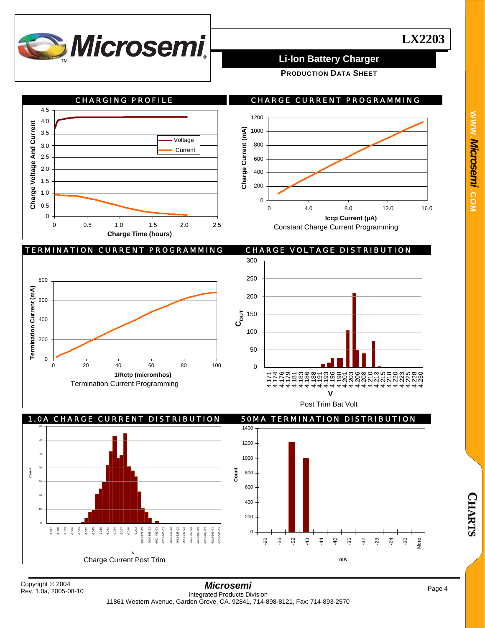

**PRODUCTION DATA SHEET**



## TERMINATION CURRENT PROGRAMMING CHARGE VOLTAGE DISTRIBUTION









800 1000 1200

# Rev. 1.0a, 2005-08-10

**Count**

**C H A R T S**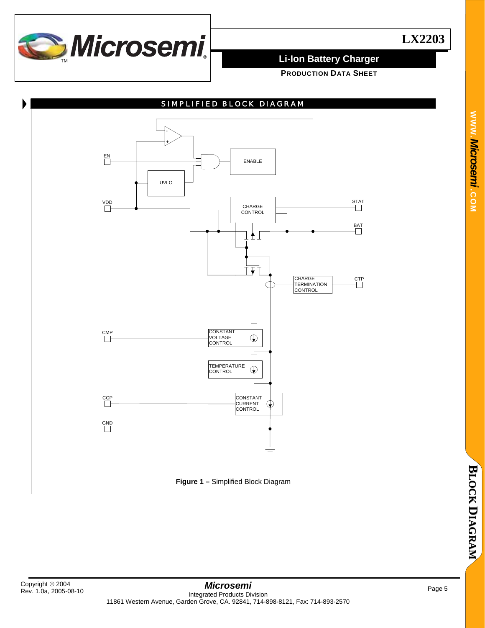

**PRODUCTION DATA SHEET**



**Figure 1 –** Simplified Block Diagram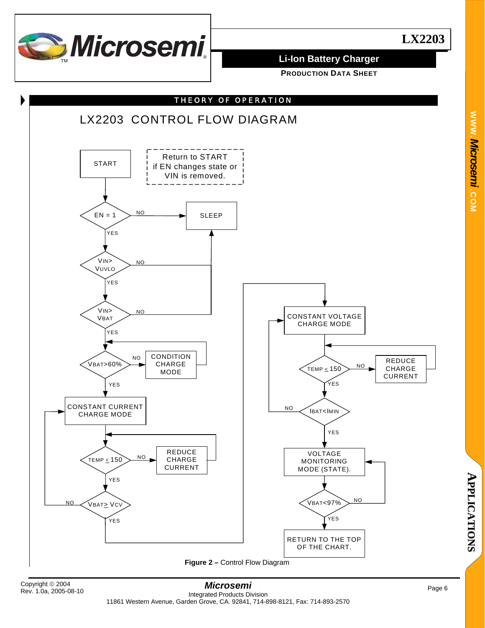

**WWW.**

*Microsemi .*

**COM**

**PRODUCTION DATA SHEET**



**A**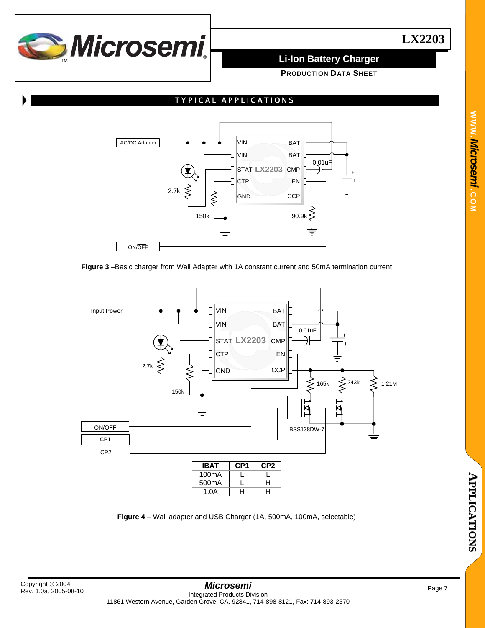

**PRODUCTION DATA SHEET**



**Figure 3** –Basic charger from Wall Adapter with 1A constant current and 50mA termination current



**Figure 4** – Wall adapter and USB Charger (1A, 500mA, 100mA, selectable)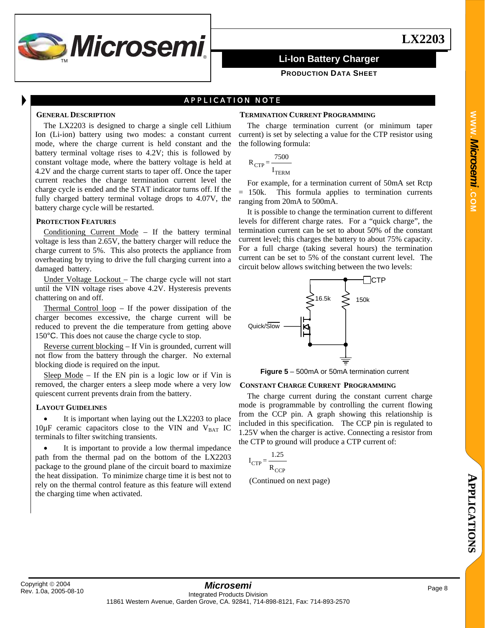

### **PRODUCTION DATA SHEET**

## APPLICATION NOTE

### **GENERAL DESCRIPTION**

The LX2203 is designed to charge a single cell Lithium Ion (Li-ion) battery using two modes: a constant current mode, where the charge current is held constant and the battery terminal voltage rises to 4.2V; this is followed by constant voltage mode, where the battery voltage is held at 4.2V and the charge current starts to taper off. Once the taper current reaches the charge termination current level the charge cycle is ended and the STAT indicator turns off. If the fully charged battery terminal voltage drops to 4.07V, the battery charge cycle will be restarted.

### **PROTECTION FEATURES**

Conditioning Current Mode – If the battery terminal voltage is less than 2.65V, the battery charger will reduce the charge current to 5%. This also protects the appliance from overheating by trying to drive the full charging current into a damaged battery.

Under Voltage Lockout – The charge cycle will not start until the VIN voltage rises above 4.2V. Hysteresis prevents chattering on and off.

Thermal Control loop – If the power dissipation of the charger becomes excessive, the charge current will be reduced to prevent the die temperature from getting above 150°C. This does not cause the charge cycle to stop.

Reverse current blocking – If Vin is grounded, current will not flow from the battery through the charger. No external blocking diode is required on the input.

Sleep  $Mode - If the EN pin is a logic low or if Vin is$ removed, the charger enters a sleep mode where a very low quiescent current prevents drain from the battery.

### **LAYOUT GUIDELINES**

It is important when laying out the LX2203 to place  $10\mu$ F ceramic capacitors close to the VIN and V<sub>BAT</sub> IC terminals to filter switching transients.

It is important to provide a low thermal impedance path from the thermal pad on the bottom of the LX2203 package to the ground plane of the circuit board to maximize the heat dissipation. To minimize charge time it is best not to rely on the thermal control feature as this feature will extend the charging time when activated.

### **TERMINATION CURRENT PROGRAMMING**

The charge termination current (or minimum taper current) is set by selecting a value for the CTP resistor using the following formula:

$$
R_{CTP} = \frac{7500}{I_{TERM}}
$$

For example, for a termination current of 50mA set Rctp = 150k. This formula applies to termination currents ranging from 20mA to 500mA.

It is possible to change the termination current to different levels for different charge rates. For a "quick charge", the termination current can be set to about 50% of the constant current level; this charges the battery to about 75% capacity. For a full charge (taking several hours) the termination current can be set to 5% of the constant current level. The circuit below allows switching between the two levels:



**Figure 5** – 500mA or 50mA termination current

### **CONSTANT CHARGE CURRENT PROGRAMMING**

The charge current during the constant current charge mode is programmable by controlling the current flowing from the CCP pin. A graph showing this relationship is included in this specification. The CCP pin is regulated to 1.25V when the charger is active. Connecting a resistor from the CTP to ground will produce a CTP current of:

$$
I_{CTP} = \frac{1.25}{R_{CCP}}
$$

(Continued on next page)

**N S**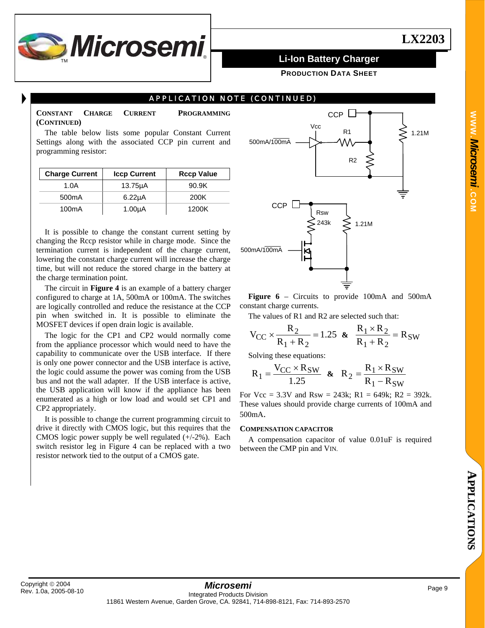

**PRODUCTION DATA SHEET**

## APPLICATION NOTE (CONTINUED)

**CONSTANT CHARGE CURRENT PROGRAMMING (CONTINUED)** 

The table below lists some popular Constant Current Settings along with the associated CCP pin current and programming resistor:

| <b>Charge Current</b> | <b>Iccp Current</b> | <b>Rccp Value</b> |
|-----------------------|---------------------|-------------------|
| 1.0A                  | $13.75\mu A$        | 90.9K             |
| 500 <sub>m</sub> A    | $6.22\mu A$         | 200K              |
| 100 <sub>m</sub> A    | 1.00 <sub>µ</sub> A | 1200K             |

It is possible to change the constant current setting by changing the Rccp resistor while in charge mode. Since the termination current is independent of the charge current, lowering the constant charge current will increase the charge time, but will not reduce the stored charge in the battery at the charge termination point.

The circuit in **Figure 4** is an example of a battery charger configured to charge at 1A, 500mA or 100mA. The switches are logically controlled and reduce the resistance at the CCP pin when switched in. It is possible to eliminate the MOSFET devices if open drain logic is available.

The logic for the CP1 and CP2 would normally come from the appliance processor which would need to have the capability to communicate over the USB interface. If there is only one power connector and the USB interface is active, the logic could assume the power was coming from the USB bus and not the wall adapter. If the USB interface is active, the USB application will know if the appliance has been enumerated as a high or low load and would set CP1 and CP2 appropriately.

It is possible to change the current programming circuit to drive it directly with CMOS logic, but this requires that the CMOS logic power supply be well regulated (+/-2%). Each switch resistor leg in Figure 4 can be replaced with a two resistor network tied to the output of a CMOS gate.



**Figure 6** – Circuits to provide 100mA and 500mA constant charge currents.

The values of R1 and R2 are selected such that:

1.25  $R_1 + R$  $V_{CC} \times \frac{R}{R}$  $1 + \kappa_2$  $\zeta_{\text{CC}} \times \frac{R_2}{R_1 + R_2} = 1.25$  &  $\frac{R_1 \times R_2}{R_1 + R_2} = R_{\text{SW}}$  $1 + \kappa_2$  $\frac{1 \times R_2}{R} = R$  $\frac{R_1 \times R_2}{R_1 + R_2} =$ 

Solving these equations:

$$
R_1 = \frac{V_{CC} \times R_{SW}}{1.25} \quad \& \quad R_2 = \frac{R_1 \times R_{SW}}{R_1 - R_{SW}}
$$

For  $Vec = 3.3V$  and  $Rsw = 243k$ ;  $R1 = 649k$ ;  $R2 = 392k$ . These values should provide charge currents of 100mA and 500mA.

### **COMPENSATION CAPACITOR**

A compensation capacitor of value 0.01uF is required between the CMP pin and VIN.

**WWW.**

*Microsemi .*

**COM**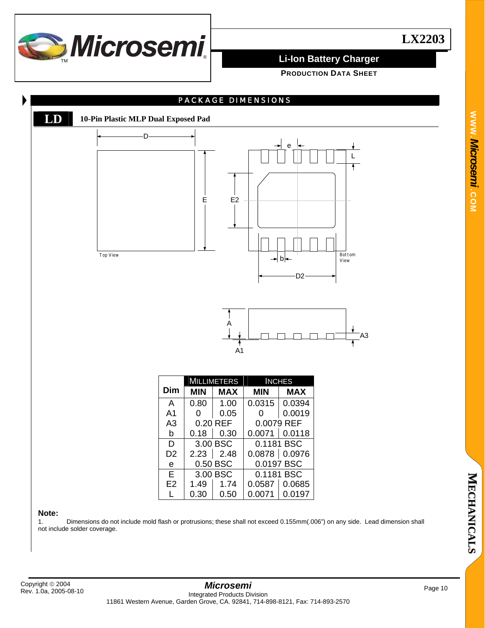

**PRODUCTION DATA SHEET**



### **Note:**

1. Dimensions do not include mold flash or protrusions; these shall not exceed 0.155mm(.006") on any side. Lead dimension shall not include solder coverage.